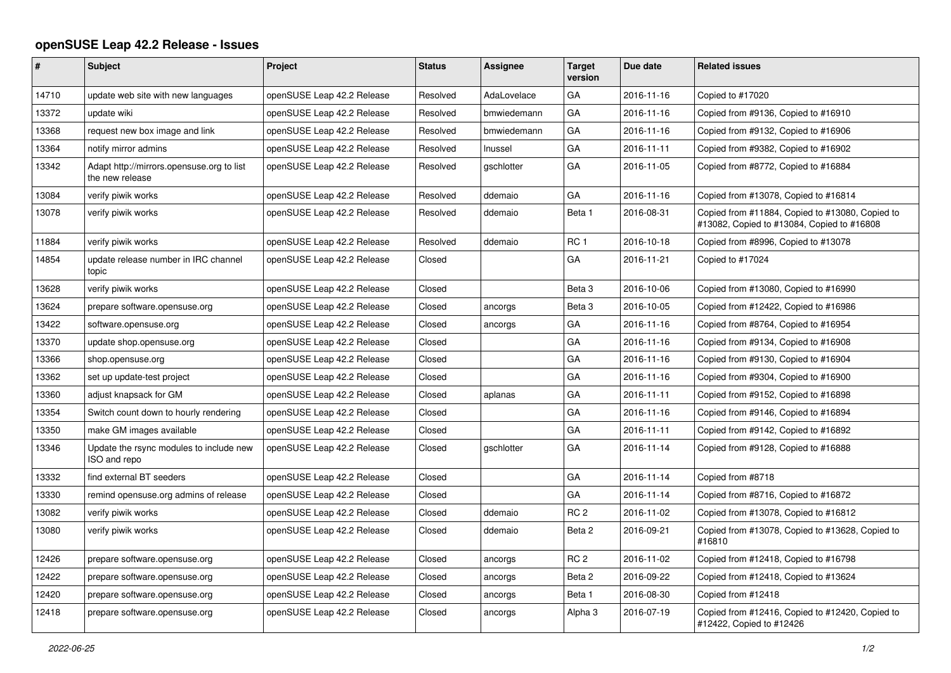## **openSUSE Leap 42.2 Release - Issues**

| #     | <b>Subject</b>                                               | Project                    | <b>Status</b> | Assignee          | <b>Target</b><br>version | Due date   | <b>Related issues</b>                                                                         |
|-------|--------------------------------------------------------------|----------------------------|---------------|-------------------|--------------------------|------------|-----------------------------------------------------------------------------------------------|
| 14710 | update web site with new languages                           | openSUSE Leap 42.2 Release | Resolved      | AdaLovelace       | GA                       | 2016-11-16 | Copied to #17020                                                                              |
| 13372 | update wiki                                                  | openSUSE Leap 42.2 Release | Resolved      | bmwiedemann       | GA                       | 2016-11-16 | Copied from #9136, Copied to #16910                                                           |
| 13368 | request new box image and link                               | openSUSE Leap 42.2 Release | Resolved      | bmwiedemann       | GA                       | 2016-11-16 | Copied from #9132, Copied to #16906                                                           |
| 13364 | notify mirror admins                                         | openSUSE Leap 42.2 Release | Resolved      | Inussel           | GA                       | 2016-11-11 | Copied from #9382, Copied to #16902                                                           |
| 13342 | Adapt http://mirrors.opensuse.org to list<br>the new release | openSUSE Leap 42.2 Release | Resolved      | gschlotter        | GA                       | 2016-11-05 | Copied from #8772, Copied to #16884                                                           |
| 13084 | verify piwik works                                           | openSUSE Leap 42.2 Release | Resolved      | ddemaio           | GA                       | 2016-11-16 | Copied from #13078, Copied to #16814                                                          |
| 13078 | verify piwik works                                           | openSUSE Leap 42.2 Release | Resolved      | ddemaio           | Beta 1                   | 2016-08-31 | Copied from #11884, Copied to #13080, Copied to<br>#13082, Copied to #13084, Copied to #16808 |
| 11884 | verify piwik works                                           | openSUSE Leap 42.2 Release | Resolved      | ddemaio           | RC <sub>1</sub>          | 2016-10-18 | Copied from #8996, Copied to #13078                                                           |
| 14854 | update release number in IRC channel<br>topic                | openSUSE Leap 42.2 Release | Closed        |                   | GA                       | 2016-11-21 | Copied to #17024                                                                              |
| 13628 | verify piwik works                                           | openSUSE Leap 42.2 Release | Closed        |                   | Beta 3                   | 2016-10-06 | Copied from #13080, Copied to #16990                                                          |
| 13624 | prepare software.opensuse.org                                | openSUSE Leap 42.2 Release | Closed        | ancorgs           | Beta 3                   | 2016-10-05 | Copied from #12422, Copied to #16986                                                          |
| 13422 | software.opensuse.org                                        | openSUSE Leap 42.2 Release | Closed        | ancorgs           | GA                       | 2016-11-16 | Copied from #8764, Copied to #16954                                                           |
| 13370 | update shop.opensuse.org                                     | openSUSE Leap 42.2 Release | Closed        |                   | GA                       | 2016-11-16 | Copied from #9134, Copied to #16908                                                           |
| 13366 | shop.opensuse.org                                            | openSUSE Leap 42.2 Release | Closed        |                   | GA                       | 2016-11-16 | Copied from #9130, Copied to #16904                                                           |
| 13362 | set up update-test project                                   | openSUSE Leap 42.2 Release | Closed        |                   | GA                       | 2016-11-16 | Copied from #9304, Copied to #16900                                                           |
| 13360 | adjust knapsack for GM                                       | openSUSE Leap 42.2 Release | Closed        | aplanas           | GA                       | 2016-11-11 | Copied from #9152, Copied to #16898                                                           |
| 13354 | Switch count down to hourly rendering                        | openSUSE Leap 42.2 Release | Closed        |                   | GA                       | 2016-11-16 | Copied from #9146, Copied to #16894                                                           |
| 13350 | make GM images available                                     | openSUSE Leap 42.2 Release | Closed        |                   | GA                       | 2016-11-11 | Copied from #9142, Copied to #16892                                                           |
| 13346 | Update the rsync modules to include new<br>ISO and repo      | openSUSE Leap 42.2 Release | Closed        | <i>aschlotter</i> | GA                       | 2016-11-14 | Copied from #9128, Copied to #16888                                                           |
| 13332 | find external BT seeders                                     | openSUSE Leap 42.2 Release | Closed        |                   | GA                       | 2016-11-14 | Copied from #8718                                                                             |
| 13330 | remind opensuse.org admins of release                        | openSUSE Leap 42.2 Release | Closed        |                   | GA                       | 2016-11-14 | Copied from #8716, Copied to #16872                                                           |
| 13082 | verify piwik works                                           | openSUSE Leap 42.2 Release | Closed        | ddemaio           | RC <sub>2</sub>          | 2016-11-02 | Copied from #13078, Copied to #16812                                                          |
| 13080 | verify piwik works                                           | openSUSE Leap 42.2 Release | Closed        | ddemaio           | Beta 2                   | 2016-09-21 | Copied from #13078, Copied to #13628, Copied to<br>#16810                                     |
| 12426 | prepare software.opensuse.org                                | openSUSE Leap 42.2 Release | Closed        | ancorgs           | RC <sub>2</sub>          | 2016-11-02 | Copied from #12418, Copied to #16798                                                          |
| 12422 | prepare software.opensuse.org                                | openSUSE Leap 42.2 Release | Closed        | ancorgs           | Beta 2                   | 2016-09-22 | Copied from #12418, Copied to #13624                                                          |
| 12420 | prepare software.opensuse.org                                | openSUSE Leap 42.2 Release | Closed        | ancorgs           | Beta 1                   | 2016-08-30 | Copied from #12418                                                                            |
| 12418 | prepare software.opensuse.org                                | openSUSE Leap 42.2 Release | Closed        | ancorgs           | Alpha 3                  | 2016-07-19 | Copied from #12416, Copied to #12420, Copied to<br>#12422, Copied to #12426                   |